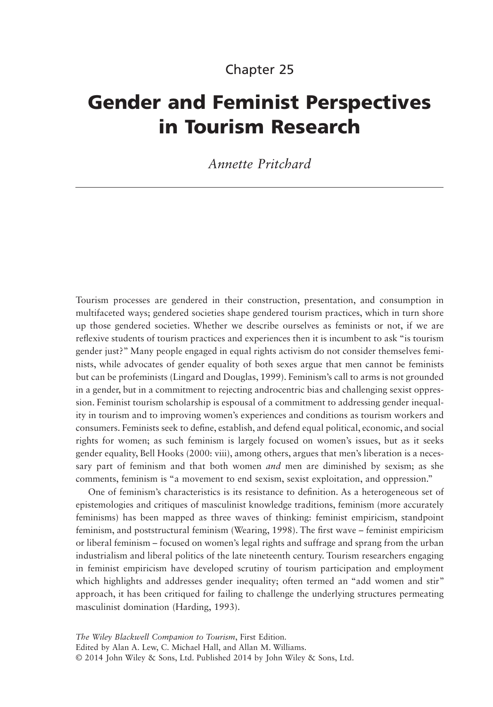# Chapter 25

# Gender and Feminist Perspectives in Tourism Research

# *Annette Pritchard*

Tourism processes are gendered in their construction, presentation, and consumption in multifaceted ways; gendered societies shape gendered tourism practices, which in turn shore up those gendered societies. Whether we describe ourselves as feminists or not, if we are reflexive students of tourism practices and experiences then it is incumbent to ask "is tourism gender just?" Many people engaged in equal rights activism do not consider themselves feminists, while advocates of gender equality of both sexes argue that men cannot be feminists but can be profeminists (Lingard and Douglas, 1999). Feminism's call to arms is not grounded in a gender, but in a commitment to rejecting androcentric bias and challenging sexist oppression. Feminist tourism scholarship is espousal of a commitment to addressing gender inequality in tourism and to improving women's experiences and conditions as tourism workers and consumers. Feminists seek to define, establish, and defend equal political, economic, and social rights for women; as such feminism is largely focused on women's issues, but as it seeks gender equality, Bell Hooks (2000: viii), among others, argues that men's liberation is a necessary part of feminism and that both women *and* men are diminished by sexism; as she comments, feminism is "a movement to end sexism, sexist exploitation, and oppression."

One of feminism's characteristics is its resistance to definition. As a heterogeneous set of epistemologies and critiques of masculinist knowledge traditions, feminism (more accurately feminisms) has been mapped as three waves of thinking: feminist empiricism, standpoint feminism, and poststructural feminism (Wearing, 1998). The first wave – feminist empiricism or liberal feminism – focused on women's legal rights and suffrage and sprang from the urban industrialism and liberal politics of the late nineteenth century. Tourism researchers engaging in feminist empiricism have developed scrutiny of tourism participation and employment which highlights and addresses gender inequality; often termed an "add women and stir" approach, it has been critiqued for failing to challenge the underlying structures permeating masculinist domination (Harding, 1993).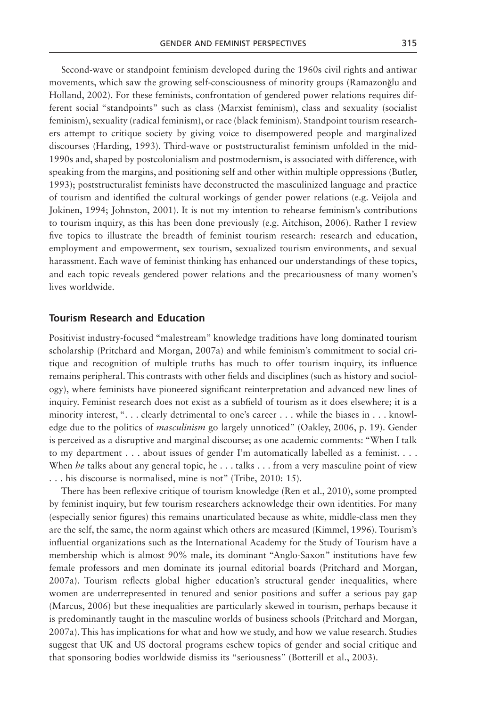Second-wave or standpoint feminism developed during the 1960s civil rights and antiwar movements, which saw the growing self-consciousness of minority groups (Ramazonğlu and Holland, 2002). For these feminists, confrontation of gendered power relations requires different social "standpoints" such as class (Marxist feminism), class and sexuality (socialist feminism), sexuality (radical feminism), or race (black feminism). Standpoint tourism researchers attempt to critique society by giving voice to disempowered people and marginalized discourses (Harding, 1993). Third-wave or poststructuralist feminism unfolded in the mid-1990s and, shaped by postcolonialism and postmodernism, is associated with difference, with speaking from the margins, and positioning self and other within multiple oppressions (Butler, 1993); poststructuralist feminists have deconstructed the masculinized language and practice of tourism and identified the cultural workings of gender power relations (e.g. Veijola and Jokinen, 1994; Johnston, 2001). It is not my intention to rehearse feminism's contributions to tourism inquiry, as this has been done previously (e.g. Aitchison, 2006). Rather I review five topics to illustrate the breadth of feminist tourism research: research and education, employment and empowerment, sex tourism, sexualized tourism environments, and sexual harassment. Each wave of feminist thinking has enhanced our understandings of these topics, and each topic reveals gendered power relations and the precariousness of many women's lives worldwide.

### **Tourism Research and Education**

Positivist industry-focused "malestream" knowledge traditions have long dominated tourism scholarship (Pritchard and Morgan, 2007a) and while feminism's commitment to social critique and recognition of multiple truths has much to offer tourism inquiry, its influence remains peripheral. This contrasts with other fields and disciplines (such as history and sociology), where feminists have pioneered significant reinterpretation and advanced new lines of inquiry. Feminist research does not exist as a subfield of tourism as it does elsewhere; it is a minority interest, ". . . clearly detrimental to one's career . . . while the biases in . . . knowledge due to the politics of *masculinism* go largely unnoticed" (Oakley, 2006, p. 19). Gender is perceived as a disruptive and marginal discourse; as one academic comments: "When I talk to my department . . . about issues of gender I'm automatically labelled as a feminist. . . . When *he* talks about any general topic, he . . . talks . . . from a very masculine point of view . . . his discourse is normalised, mine is not" (Tribe, 2010: 15).

There has been reflexive critique of tourism knowledge (Ren et al., 2010), some prompted by feminist inquiry, but few tourism researchers acknowledge their own identities. For many (especially senior figures) this remains unarticulated because as white, middle-class men they are the self, the same, the norm against which others are measured (Kimmel, 1996). Tourism's influential organizations such as the International Academy for the Study of Tourism have a membership which is almost 90% male, its dominant "Anglo-Saxon" institutions have few female professors and men dominate its journal editorial boards (Pritchard and Morgan, 2007a). Tourism reflects global higher education's structural gender inequalities, where women are underrepresented in tenured and senior positions and suffer a serious pay gap (Marcus, 2006) but these inequalities are particularly skewed in tourism, perhaps because it is predominantly taught in the masculine worlds of business schools (Pritchard and Morgan, 2007a). This has implications for what and how we study, and how we value research. Studies suggest that UK and US doctoral programs eschew topics of gender and social critique and that sponsoring bodies worldwide dismiss its "seriousness" (Botterill et al., 2003).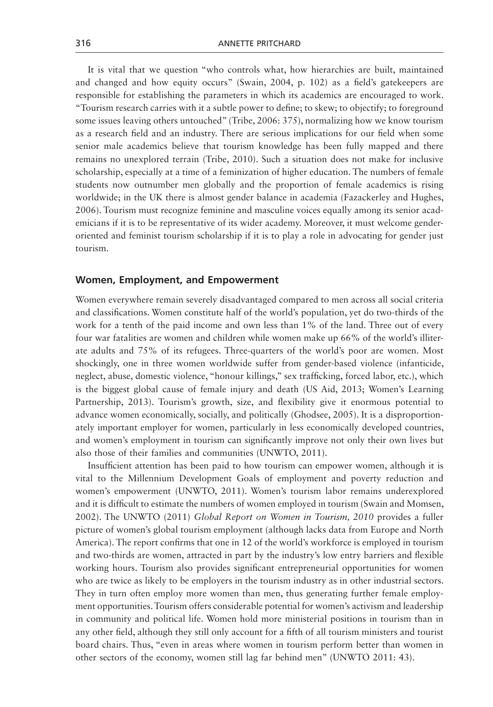It is vital that we question "who controls what, how hierarchies are built, maintained and changed and how equity occurs" (Swain, 2004, p. 102) as a field's gatekeepers are responsible for establishing the parameters in which its academics are encouraged to work. "Tourism research carries with it a subtle power to define; to skew; to objectify; to foreground some issues leaving others untouched" (Tribe, 2006: 375), normalizing how we know tourism as a research field and an industry. There are serious implications for our field when some senior male academics believe that tourism knowledge has been fully mapped and there remains no unexplored terrain (Tribe, 2010). Such a situation does not make for inclusive scholarship, especially at a time of a feminization of higher education. The numbers of female students now outnumber men globally and the proportion of female academics is rising worldwide; in the UK there is almost gender balance in academia (Fazackerley and Hughes, 2006). Tourism must recognize feminine and masculine voices equally among its senior academicians if it is to be representative of its wider academy. Moreover, it must welcome genderoriented and feminist tourism scholarship if it is to play a role in advocating for gender just tourism.

### **Women, Employment, and Empowerment**

Women everywhere remain severely disadvantaged compared to men across all social criteria and classifications. Women constitute half of the world's population, yet do two-thirds of the work for a tenth of the paid income and own less than 1% of the land. Three out of every four war fatalities are women and children while women make up 66% of the world's illiterate adults and 75% of its refugees. Three-quarters of the world's poor are women. Most shockingly, one in three women worldwide suffer from gender-based violence (infanticide, neglect, abuse, domestic violence, "honour killings," sex trafficking, forced labor, etc.), which is the biggest global cause of female injury and death (US Aid, 2013; Women's Learning Partnership, 2013). Tourism's growth, size, and flexibility give it enormous potential to advance women economically, socially, and politically (Ghodsee, 2005). It is a disproportionately important employer for women, particularly in less economically developed countries, and women's employment in tourism can significantly improve not only their own lives but also those of their families and communities (UNWTO, 2011).

Insufficient attention has been paid to how tourism can empower women, although it is vital to the Millennium Development Goals of employment and poverty reduction and women's empowerment (UNWTO, 2011). Women's tourism labor remains underexplored and it is difficult to estimate the numbers of women employed in tourism (Swain and Momsen, 2002). The UNWTO (2011) *Global Report on Women in Tourism, 2010* provides a fuller picture of women's global tourism employment (although lacks data from Europe and North America). The report confirms that one in 12 of the world's workforce is employed in tourism and two-thirds are women, attracted in part by the industry's low entry barriers and flexible working hours. Tourism also provides significant entrepreneurial opportunities for women who are twice as likely to be employers in the tourism industry as in other industrial sectors. They in turn often employ more women than men, thus generating further female employment opportunities. Tourism offers considerable potential for women's activism and leadership in community and political life. Women hold more ministerial positions in tourism than in any other field, although they still only account for a fifth of all tourism ministers and tourist board chairs. Thus, "even in areas where women in tourism perform better than women in other sectors of the economy, women still lag far behind men" (UNWTO 2011: 43).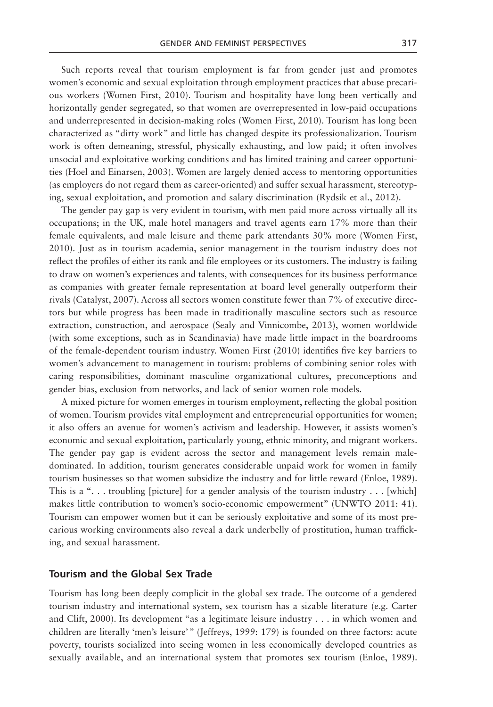Such reports reveal that tourism employment is far from gender just and promotes women's economic and sexual exploitation through employment practices that abuse precarious workers (Women First, 2010). Tourism and hospitality have long been vertically and horizontally gender segregated, so that women are overrepresented in low-paid occupations and underrepresented in decision-making roles (Women First, 2010). Tourism has long been characterized as "dirty work" and little has changed despite its professionalization. Tourism work is often demeaning, stressful, physically exhausting, and low paid; it often involves unsocial and exploitative working conditions and has limited training and career opportunities (Hoel and Einarsen, 2003). Women are largely denied access to mentoring opportunities (as employers do not regard them as career-oriented) and suffer sexual harassment, stereotyping, sexual exploitation, and promotion and salary discrimination (Rydsik et al., 2012).

The gender pay gap is very evident in tourism, with men paid more across virtually all its occupations; in the UK, male hotel managers and travel agents earn 17% more than their female equivalents, and male leisure and theme park attendants 30% more (Women First, 2010). Just as in tourism academia, senior management in the tourism industry does not reflect the profiles of either its rank and file employees or its customers. The industry is failing to draw on women's experiences and talents, with consequences for its business performance as companies with greater female representation at board level generally outperform their rivals (Catalyst, 2007). Across all sectors women constitute fewer than 7% of executive directors but while progress has been made in traditionally masculine sectors such as resource extraction, construction, and aerospace (Sealy and Vinnicombe, 2013), women worldwide (with some exceptions, such as in Scandinavia) have made little impact in the boardrooms of the female-dependent tourism industry. Women First (2010) identifies five key barriers to women's advancement to management in tourism: problems of combining senior roles with caring responsibilities, dominant masculine organizational cultures, preconceptions and gender bias, exclusion from networks, and lack of senior women role models.

A mixed picture for women emerges in tourism employment, reflecting the global position of women. Tourism provides vital employment and entrepreneurial opportunities for women; it also offers an avenue for women's activism and leadership. However, it assists women's economic and sexual exploitation, particularly young, ethnic minority, and migrant workers. The gender pay gap is evident across the sector and management levels remain maledominated. In addition, tourism generates considerable unpaid work for women in family tourism businesses so that women subsidize the industry and for little reward (Enloe, 1989). This is a "... troubling [picture] for a gender analysis of the tourism industry ... [which] makes little contribution to women's socio-economic empowerment" (UNWTO 2011: 41). Tourism can empower women but it can be seriously exploitative and some of its most precarious working environments also reveal a dark underbelly of prostitution, human trafficking, and sexual harassment.

# **Tourism and the Global Sex Trade**

Tourism has long been deeply complicit in the global sex trade. The outcome of a gendered tourism industry and international system, sex tourism has a sizable literature (e.g. Carter and Clift, 2000). Its development "as a legitimate leisure industry . . . in which women and children are literally 'men's leisure'" (Jeffreys, 1999: 179) is founded on three factors: acute poverty, tourists socialized into seeing women in less economically developed countries as sexually available, and an international system that promotes sex tourism (Enloe, 1989).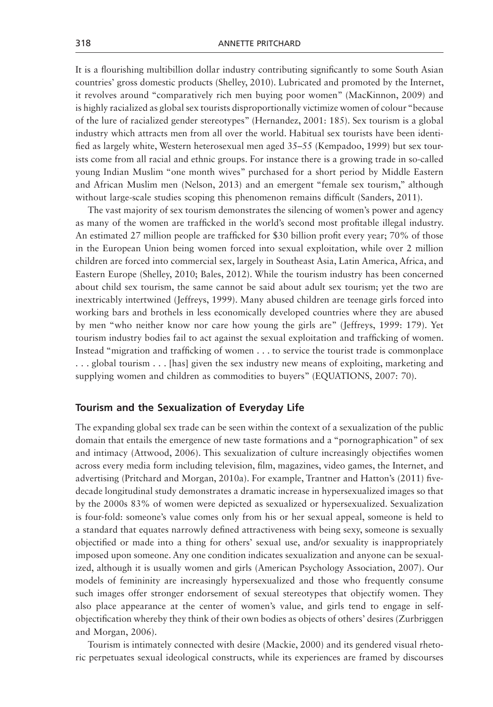It is a flourishing multibillion dollar industry contributing significantly to some South Asian countries' gross domestic products (Shelley, 2010). Lubricated and promoted by the Internet, it revolves around "comparatively rich men buying poor women" (MacKinnon, 2009) and is highly racialized as global sex tourists disproportionally victimize women of colour "because of the lure of racialized gender stereotypes" (Hernandez, 2001: 185). Sex tourism is a global industry which attracts men from all over the world. Habitual sex tourists have been identified as largely white, Western heterosexual men aged 35–55 (Kempadoo, 1999) but sex tourists come from all racial and ethnic groups. For instance there is a growing trade in so-called young Indian Muslim "one month wives" purchased for a short period by Middle Eastern and African Muslim men (Nelson, 2013) and an emergent "female sex tourism," although without large-scale studies scoping this phenomenon remains difficult (Sanders, 2011).

The vast majority of sex tourism demonstrates the silencing of women's power and agency as many of the women are trafficked in the world's second most profitable illegal industry. An estimated 27 million people are trafficked for \$30 billion profit every year; 70% of those in the European Union being women forced into sexual exploitation, while over 2 million children are forced into commercial sex, largely in Southeast Asia, Latin America, Africa, and Eastern Europe (Shelley, 2010; Bales, 2012). While the tourism industry has been concerned about child sex tourism, the same cannot be said about adult sex tourism; yet the two are inextricably intertwined (Jeffreys, 1999). Many abused children are teenage girls forced into working bars and brothels in less economically developed countries where they are abused by men "who neither know nor care how young the girls are" (Jeffreys, 1999: 179). Yet tourism industry bodies fail to act against the sexual exploitation and trafficking of women. Instead "migration and trafficking of women . . . to service the tourist trade is commonplace . . . global tourism . . . [has] given the sex industry new means of exploiting, marketing and supplying women and children as commodities to buyers" (EQUATIONS, 2007: 70).

## **Tourism and the Sexualization of Everyday Life**

The expanding global sex trade can be seen within the context of a sexualization of the public domain that entails the emergence of new taste formations and a "pornographication" of sex and intimacy (Attwood, 2006). This sexualization of culture increasingly objectifies women across every media form including television, film, magazines, video games, the Internet, and advertising (Pritchard and Morgan, 2010a). For example, Trantner and Hatton's (2011) fivedecade longitudinal study demonstrates a dramatic increase in hypersexualized images so that by the 2000s 83% of women were depicted as sexualized or hypersexualized. Sexualization is four-fold: someone's value comes only from his or her sexual appeal, someone is held to a standard that equates narrowly defined attractiveness with being sexy, someone is sexually objectified or made into a thing for others' sexual use, and/or sexuality is inappropriately imposed upon someone. Any one condition indicates sexualization and anyone can be sexualized, although it is usually women and girls (American Psychology Association, 2007). Our models of femininity are increasingly hypersexualized and those who frequently consume such images offer stronger endorsement of sexual stereotypes that objectify women. They also place appearance at the center of women's value, and girls tend to engage in selfobjectification whereby they think of their own bodies as objects of others' desires (Zurbriggen and Morgan, 2006).

Tourism is intimately connected with desire (Mackie, 2000) and its gendered visual rhetoric perpetuates sexual ideological constructs, while its experiences are framed by discourses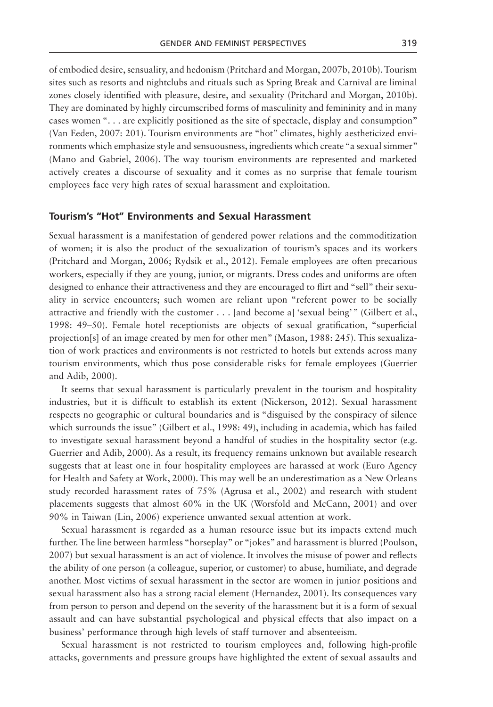of embodied desire, sensuality, and hedonism (Pritchard and Morgan, 2007b, 2010b). Tourism sites such as resorts and nightclubs and rituals such as Spring Break and Carnival are liminal zones closely identified with pleasure, desire, and sexuality (Pritchard and Morgan, 2010b). They are dominated by highly circumscribed forms of masculinity and femininity and in many cases women ". . . are explicitly positioned as the site of spectacle, display and consumption" (Van Eeden, 2007: 201). Tourism environments are "hot" climates, highly aestheticized environments which emphasize style and sensuousness, ingredients which create "a sexual simmer" (Mano and Gabriel, 2006). The way tourism environments are represented and marketed actively creates a discourse of sexuality and it comes as no surprise that female tourism employees face very high rates of sexual harassment and exploitation.

# **Tourism's "Hot" Environments and Sexual Harassment**

Sexual harassment is a manifestation of gendered power relations and the commoditization of women; it is also the product of the sexualization of tourism's spaces and its workers (Pritchard and Morgan, 2006; Rydsik et al., 2012). Female employees are often precarious workers, especially if they are young, junior, or migrants. Dress codes and uniforms are often designed to enhance their attractiveness and they are encouraged to flirt and "sell" their sexuality in service encounters; such women are reliant upon "referent power to be socially attractive and friendly with the customer . . . [and become a] 'sexual being'" (Gilbert et al., 1998: 49–50). Female hotel receptionists are objects of sexual gratification, "superficial projection[s] of an image created by men for other men" (Mason, 1988: 245). This sexualization of work practices and environments is not restricted to hotels but extends across many tourism environments, which thus pose considerable risks for female employees (Guerrier and Adib, 2000).

It seems that sexual harassment is particularly prevalent in the tourism and hospitality industries, but it is difficult to establish its extent (Nickerson, 2012). Sexual harassment respects no geographic or cultural boundaries and is "disguised by the conspiracy of silence which surrounds the issue" (Gilbert et al., 1998: 49), including in academia, which has failed to investigate sexual harassment beyond a handful of studies in the hospitality sector (e.g. Guerrier and Adib, 2000). As a result, its frequency remains unknown but available research suggests that at least one in four hospitality employees are harassed at work (Euro Agency for Health and Safety at Work, 2000). This may well be an underestimation as a New Orleans study recorded harassment rates of 75% (Agrusa et al., 2002) and research with student placements suggests that almost 60% in the UK (Worsfold and McCann, 2001) and over 90% in Taiwan (Lin, 2006) experience unwanted sexual attention at work.

Sexual harassment is regarded as a human resource issue but its impacts extend much further. The line between harmless "horseplay" or "jokes" and harassment is blurred (Poulson, 2007) but sexual harassment is an act of violence. It involves the misuse of power and reflects the ability of one person (a colleague, superior, or customer) to abuse, humiliate, and degrade another. Most victims of sexual harassment in the sector are women in junior positions and sexual harassment also has a strong racial element (Hernandez, 2001). Its consequences vary from person to person and depend on the severity of the harassment but it is a form of sexual assault and can have substantial psychological and physical effects that also impact on a business' performance through high levels of staff turnover and absenteeism.

Sexual harassment is not restricted to tourism employees and, following high-profile attacks, governments and pressure groups have highlighted the extent of sexual assaults and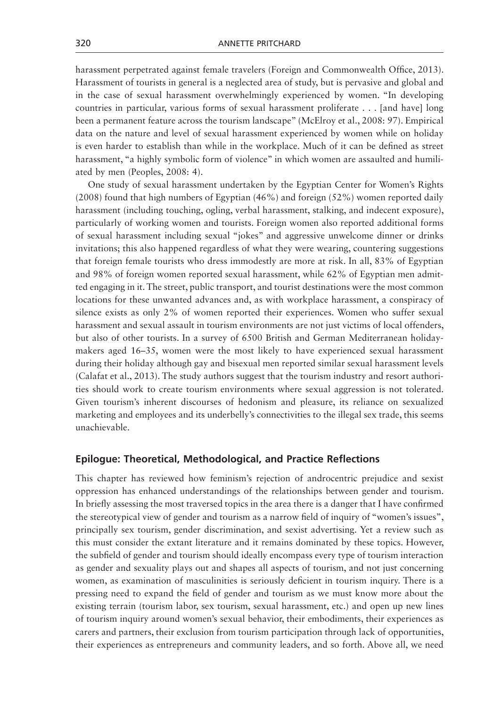harassment perpetrated against female travelers (Foreign and Commonwealth Office, 2013). Harassment of tourists in general is a neglected area of study, but is pervasive and global and in the case of sexual harassment overwhelmingly experienced by women. "In developing countries in particular, various forms of sexual harassment proliferate . . . [and have] long been a permanent feature across the tourism landscape" (McElroy et al., 2008: 97). Empirical data on the nature and level of sexual harassment experienced by women while on holiday is even harder to establish than while in the workplace. Much of it can be defined as street harassment, "a highly symbolic form of violence" in which women are assaulted and humiliated by men (Peoples, 2008: 4).

One study of sexual harassment undertaken by the Egyptian Center for Women's Rights (2008) found that high numbers of Egyptian (46%) and foreign (52%) women reported daily harassment (including touching, ogling, verbal harassment, stalking, and indecent exposure), particularly of working women and tourists. Foreign women also reported additional forms of sexual harassment including sexual "jokes" and aggressive unwelcome dinner or drinks invitations; this also happened regardless of what they were wearing, countering suggestions that foreign female tourists who dress immodestly are more at risk. In all, 83% of Egyptian and 98% of foreign women reported sexual harassment, while 62% of Egyptian men admitted engaging in it. The street, public transport, and tourist destinations were the most common locations for these unwanted advances and, as with workplace harassment, a conspiracy of silence exists as only 2% of women reported their experiences. Women who suffer sexual harassment and sexual assault in tourism environments are not just victims of local offenders, but also of other tourists. In a survey of 6500 British and German Mediterranean holidaymakers aged 16–35, women were the most likely to have experienced sexual harassment during their holiday although gay and bisexual men reported similar sexual harassment levels (Calafat et al., 2013). The study authors suggest that the tourism industry and resort authorities should work to create tourism environments where sexual aggression is not tolerated. Given tourism's inherent discourses of hedonism and pleasure, its reliance on sexualized marketing and employees and its underbelly's connectivities to the illegal sex trade, this seems unachievable.

### **Epilogue: Theoretical, Methodological, and Practice Reflections**

This chapter has reviewed how feminism's rejection of androcentric prejudice and sexist oppression has enhanced understandings of the relationships between gender and tourism. In briefly assessing the most traversed topics in the area there is a danger that I have confirmed the stereotypical view of gender and tourism as a narrow field of inquiry of "women's issues", principally sex tourism, gender discrimination, and sexist advertising. Yet a review such as this must consider the extant literature and it remains dominated by these topics. However, the subfield of gender and tourism should ideally encompass every type of tourism interaction as gender and sexuality plays out and shapes all aspects of tourism, and not just concerning women, as examination of masculinities is seriously deficient in tourism inquiry. There is a pressing need to expand the field of gender and tourism as we must know more about the existing terrain (tourism labor, sex tourism, sexual harassment, etc.) and open up new lines of tourism inquiry around women's sexual behavior, their embodiments, their experiences as carers and partners, their exclusion from tourism participation through lack of opportunities, their experiences as entrepreneurs and community leaders, and so forth. Above all, we need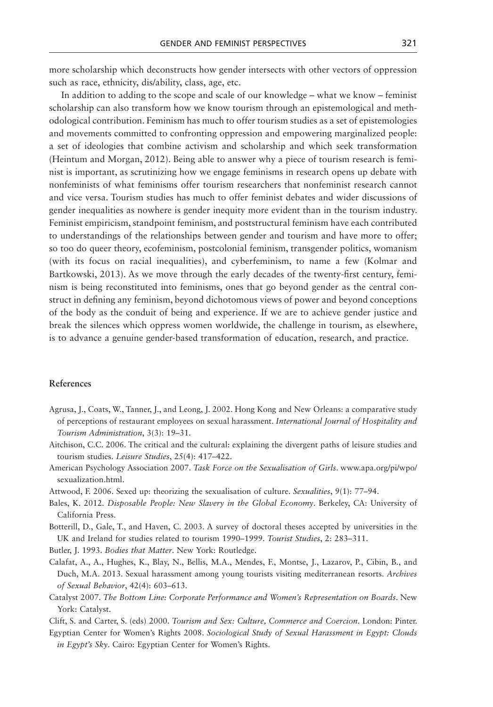more scholarship which deconstructs how gender intersects with other vectors of oppression such as race, ethnicity, dis/ability, class, age, etc.

In addition to adding to the scope and scale of our knowledge – what we know – feminist scholarship can also transform how we know tourism through an epistemological and methodological contribution. Feminism has much to offer tourism studies as a set of epistemologies and movements committed to confronting oppression and empowering marginalized people: a set of ideologies that combine activism and scholarship and which seek transformation (Heintum and Morgan, 2012). Being able to answer why a piece of tourism research is feminist is important, as scrutinizing how we engage feminisms in research opens up debate with nonfeminists of what feminisms offer tourism researchers that nonfeminist research cannot and vice versa. Tourism studies has much to offer feminist debates and wider discussions of gender inequalities as nowhere is gender inequity more evident than in the tourism industry. Feminist empiricism, standpoint feminism, and poststructural feminism have each contributed to understandings of the relationships between gender and tourism and have more to offer; so too do queer theory, ecofeminism, postcolonial feminism, transgender politics, womanism (with its focus on racial inequalities), and cyberfeminism, to name a few (Kolmar and Bartkowski, 2013). As we move through the early decades of the twenty-first century, feminism is being reconstituted into feminisms, ones that go beyond gender as the central construct in defining any feminism, beyond dichotomous views of power and beyond conceptions of the body as the conduit of being and experience. If we are to achieve gender justice and break the silences which oppress women worldwide, the challenge in tourism, as elsewhere, is to advance a genuine gender-based transformation of education, research, and practice.

#### **References**

- Agrusa, J., Coats, W., Tanner, J., and Leong, J. 2002. Hong Kong and New Orleans: a comparative study of perceptions of restaurant employees on sexual harassment. *International Journal of Hospitality and Tourism Administration*, 3(3): 19–31.
- Aitchison, C.C. 2006. The critical and the cultural: explaining the divergent paths of leisure studies and tourism studies. *Leisure Studies*, 25(4): 417–422.
- American Psychology Association 2007. *Task Force on the Sexualisation of Girls*. [www.apa.org/pi/wpo/](http://www.apa.org/pi/wpo/sexualization.html) [sexualization.html.](http://www.apa.org/pi/wpo/sexualization.html)
- Attwood, F. 2006. Sexed up: theorizing the sexualisation of culture. *Sexualities*, 9(1): 77–94.
- Bales, K. 2012. *Disposable People: New Slavery in the Global Economy*. Berkeley, CA: University of California Press.
- Botterill, D., Gale, T., and Haven, C. 2003. A survey of doctoral theses accepted by universities in the UK and Ireland for studies related to tourism 1990–1999. *Tourist Studies*, 2: 283–311.

Butler, J. 1993. *Bodies that Matter*. New York: Routledge.

- Calafat, A., A., Hughes, K., Blay, N., Bellis, M.A., Mendes, F., Montse, J., Lazarov, P., Cibin, B., and Duch, M.A. 2013. Sexual harassment among young tourists visiting mediterranean resorts. *Archives of Sexual Behavior*, 42(4): 603–613.
- Catalyst 2007. *The Bottom Line: Corporate Performance and Women's Representation on Boards*. New York: Catalyst.

Clift, S. and Carter, S. (eds) 2000. *Tourism and Sex: Culture, Commerce and Coercion*. London: Pinter.

Egyptian Center for Women's Rights 2008. *Sociological Study of Sexual Harassment in Egypt: Clouds in Egypt's Sky*. Cairo: Egyptian Center for Women's Rights.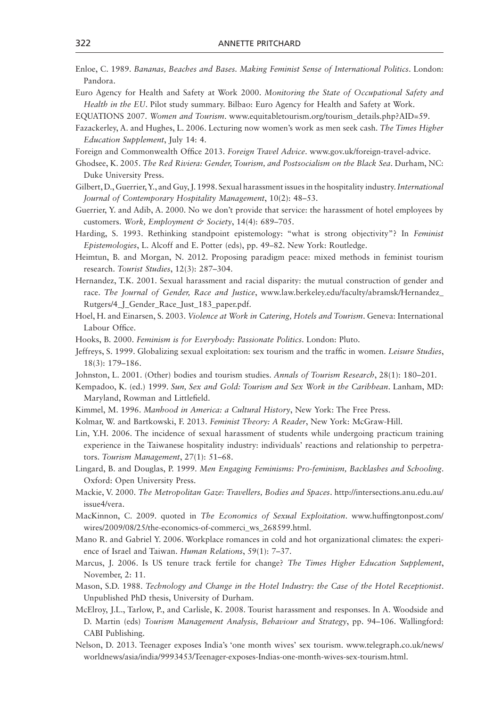- Enloe, C. 1989. *Bananas, Beaches and Bases. Making Feminist Sense of International Politics*. London: Pandora.
- Euro Agency for Health and Safety at Work 2000. *Monitoring the State of Occupational Safety and Health in the EU*. Pilot study summary. Bilbao: Euro Agency for Health and Safety at Work.
- EQUATIONS 2007. *Women and Tourism*. [www.equitabletourism.org/tourism\\_details.php?AID=59](http://www.equitabletourism.org/tourism_details.php?AID=59).
- Fazackerley, A. and Hughes, L. 2006. Lecturing now women's work as men seek cash. *The Times Higher Education Supplement*, July 14: 4.
- Foreign and Commonwealth Office 2013. *Foreign Travel Advice*. [www.gov.uk/foreign-travel-advice](http://www.gov.uk/foreign-travel-advice).
- Ghodsee, K. 2005. *The Red Riviera: Gender, Tourism, and Postsocialism on the Black Sea*. Durham, NC: Duke University Press.
- Gilbert, D., Guerrier, Y., and Guy, J. 1998. Sexual harassment issues in the hospitality industry. *International Journal of Contemporary Hospitality Management*, 10(2): 48–53.
- Guerrier, Y. and Adib, A. 2000. No we don't provide that service: the harassment of hotel employees by customers. *Work, Employment & Society*, 14(4): 689-705.
- Harding, S. 1993. Rethinking standpoint epistemology: "what is strong objectivity"? In *Feminist Epistemologies*, L. Alcoff and E. Potter (eds), pp. 49–82. New York: Routledge.
- Heimtun, B. and Morgan, N. 2012. Proposing paradigm peace: mixed methods in feminist tourism research. *Tourist Studies*, 12(3): 287–304.
- Hernandez, T.K. 2001. Sexual harassment and racial disparity: the mutual construction of gender and race. *The Journal of Gender, Race and Justice*, [www.law.berkeley.edu/faculty/abramsk/Hernandez\\_](http://www.law.berkeley.edu/faculty/abramsk/Hernandez_Rutgers/4_J_Gender_Race_Just_183_paper.pdf) [Rutgers/4\\_J\\_Gender\\_Race\\_Just\\_183\\_paper.pdf.](http://www.law.berkeley.edu/faculty/abramsk/Hernandez_Rutgers/4_J_Gender_Race_Just_183_paper.pdf)
- Hoel, H. and Einarsen, S. 2003. *Violence at Work in Catering, Hotels and Tourism*. Geneva: International Labour Office.
- Hooks, B. 2000. *Feminism is for Everybody: Passionate Politics*. London: Pluto.
- Jeffreys, S. 1999. Globalizing sexual exploitation: sex tourism and the traffic in women. *Leisure Studies*, 18(3): 179–186.
- Johnston, L. 2001. (Other) bodies and tourism studies. *Annals of Tourism Research*, 28(1): 180–201.
- Kempadoo, K. (ed.) 1999. *Sun, Sex and Gold: Tourism and Sex Work in the Caribbean*. Lanham, MD: Maryland, Rowman and Littlefield.
- Kimmel, M. 1996. *Manhood in America: a Cultural History*, New York: The Free Press.
- Kolmar, W. and Bartkowski, F. 2013. *Feminist Theory: A Reader*, New York: McGraw-Hill.
- Lin, Y.H. 2006. The incidence of sexual harassment of students while undergoing practicum training experience in the Taiwanese hospitality industry: individuals' reactions and relationship to perpetrators. *Tourism Management*, 27(1): 51–68.
- Lingard, B. and Douglas, P. 1999. *Men Engaging Feminisms: Pro-feminism, Backlashes and Schooling*. Oxford: Open University Press.
- Mackie, V. 2000. *The Metropolitan Gaze: Travellers, Bodies and Spaces*. [http://intersections.anu.edu.au/](http://intersections.anu.edu.au/issue4/vera) [issue4/vera.](http://intersections.anu.edu.au/issue4/vera)
- MacKinnon, C. 2009. quoted in *The Economics of Sexual Exploitation*. [www.huffingtonpost.com/](http://www.huffingtonpost.com/wires/2009/08/25/the-economics-of-commerci_ws_268599.html) [wires/2009/08/25/the-economics-of-commerci\\_ws\\_268599.html](http://www.huffingtonpost.com/wires/2009/08/25/the-economics-of-commerci_ws_268599.html).
- Mano R. and Gabriel Y. 2006. Workplace romances in cold and hot organizational climates: the experience of Israel and Taiwan. *Human Relations*, 59(1): 7–37.
- Marcus, J. 2006. Is US tenure track fertile for change? *The Times Higher Education Supplement*, November, 2: 11.
- Mason, S.D. 1988. *Technology and Change in the Hotel Industry: the Case of the Hotel Receptionist*. Unpublished PhD thesis, University of Durham.
- McElroy, J.L., Tarlow, P., and Carlisle, K. 2008. Tourist harassment and responses. In A. Woodside and D. Martin (eds) *Tourism Management Analysis, Behaviour and Strategy*, pp. 94–106. Wallingford: CABI Publishing.
- Nelson, D. 2013. Teenager exposes India's 'one month wives' sex tourism. [www.telegraph.co.uk/news/](http://www.telegraph.co.uk/news/worldnews/asia/india/9993453/Teenager-exposes-Indias-one-month-wives-sex-tourism.html) [worldnews/asia/india/9993453/Teenager-exposes-Indias-one-month-wives-sex-tourism.html](http://www.telegraph.co.uk/news/worldnews/asia/india/9993453/Teenager-exposes-Indias-one-month-wives-sex-tourism.html).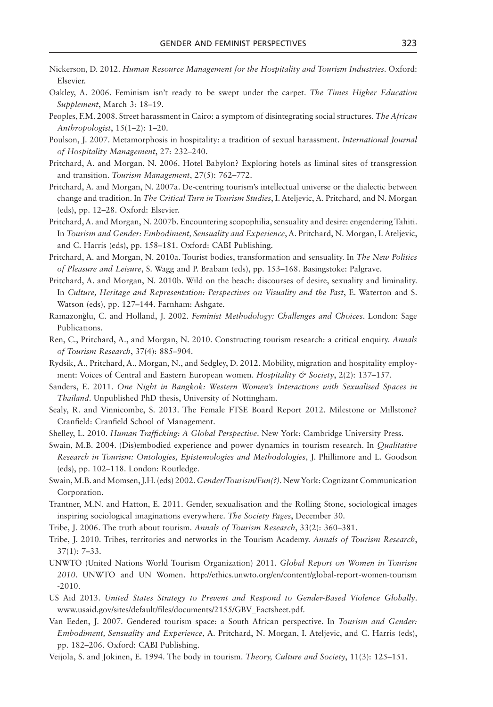- Nickerson, D. 2012. *Human Resource Management for the Hospitality and Tourism Industries*. Oxford: Elsevier.
- Oakley, A. 2006. Feminism isn't ready to be swept under the carpet. *The Times Higher Education Supplement*, March 3: 18–19.
- Peoples, F.M. 2008. Street harassment in Cairo: a symptom of disintegrating social structures. *The African Anthropologist*, 15(1–2): 1–20.
- Poulson, J. 2007. Metamorphosis in hospitality: a tradition of sexual harassment. *International Journal of Hospitality Management*, 27: 232–240.
- Pritchard, A. and Morgan, N. 2006. Hotel Babylon? Exploring hotels as liminal sites of transgression and transition. *Tourism Management*, 27(5): 762–772.
- Pritchard, A. and Morgan, N. 2007a. De-centring tourism's intellectual universe or the dialectic between change and tradition. In *The Critical Turn in Tourism Studies*, I. Ateljevic, A. Pritchard, and N. Morgan (eds), pp. 12–28. Oxford: Elsevier.
- Pritchard, A. and Morgan, N. 2007b. Encountering scopophilia, sensuality and desire: engendering Tahiti. In *Tourism and Gender: Embodiment, Sensuality and Experience*, A. Pritchard, N. Morgan, I. Ateljevic, and C. Harris (eds), pp. 158–181. Oxford: CABI Publishing.
- Pritchard, A. and Morgan, N. 2010a. Tourist bodies, transformation and sensuality. In *The New Politics of Pleasure and Leisure*, S. Wagg and P. Brabam (eds), pp. 153–168. Basingstoke: Palgrave.
- Pritchard, A. and Morgan, N. 2010b. Wild on the beach: discourses of desire, sexuality and liminality. In *Culture, Heritage and Representation: Perspectives on Visuality and the Past*, E. Waterton and S. Watson (eds), pp. 127–144. Farnham: Ashgate.
- Ramazonğlu, C. and Holland, J. 2002. *Feminist Methodology: Challenges and Choices*. London: Sage Publications.
- Ren, C., Pritchard, A., and Morgan, N. 2010. Constructing tourism research: a critical enquiry. *Annals of Tourism Research*, 37(4): 885–904.
- Rydsik, A., Pritchard, A., Morgan, N., and Sedgley, D. 2012. Mobility, migration and hospitality employment: Voices of Central and Eastern European women. *Hospitality & Society*, 2(2): 137–157.
- Sanders, E. 2011. *One Night in Bangkok: Western Women's Interactions with Sexualised Spaces in Thailand*. Unpublished PhD thesis, University of Nottingham.
- Sealy, R. and Vinnicombe, S. 2013. The Female FTSE Board Report 2012. Milestone or Millstone? Cranfield: Cranfield School of Management.
- Shelley, L. 2010. *Human Trafficking: A Global Perspective*. New York: Cambridge University Press.
- Swain, M.B. 2004. (Dis)embodied experience and power dynamics in tourism research. In *Qualitative Research in Tourism: Ontologies, Epistemologies and Methodologies*, J. Phillimore and L. Goodson (eds), pp. 102–118. London: Routledge.
- Swain, M.B. and Momsen, J.H. (eds) 2002. *Gender/Tourism/Fun(?)*. New York: Cognizant Communication Corporation.
- Trantner, M.N. and Hatton, E. 2011. Gender, sexualisation and the Rolling Stone, sociological images inspiring sociological imaginations everywhere. *The Society Pages*, December 30.
- Tribe, J. 2006. The truth about tourism. *Annals of Tourism Research*, 33(2): 360–381.
- Tribe, J. 2010. Tribes, territories and networks in the Tourism Academy. *Annals of Tourism Research*, 37(1): 7–33.
- UNWTO (United Nations World Tourism Organization) 2011. *Global Report on Women in Tourism 2010*. UNWTO and UN Women. [http://ethics.unwto.org/en/content/global-report-women-tourism](http://ethics.unwto.org/en/content/global-report-women-tourism-2010) [-2010](http://ethics.unwto.org/en/content/global-report-women-tourism-2010).
- US Aid 2013. *United States Strategy to Prevent and Respond to Gender-Based Violence Globally*. [www.usaid.gov/sites/default/files/documents/2155/GBV\\_Factsheet.pdf](http://www.usaid.gov/sites/default/files/documents/2155/GBV_Factsheet.pdf).
- Van Eeden, J. 2007. Gendered tourism space: a South African perspective. In *Tourism and Gender: Embodiment, Sensuality and Experience*, A. Pritchard, N. Morgan, I. Ateljevic, and C. Harris (eds), pp. 182–206. Oxford: CABI Publishing.
- Veijola, S. and Jokinen, E. 1994. The body in tourism. *Theory, Culture and Society*, 11(3): 125–151.